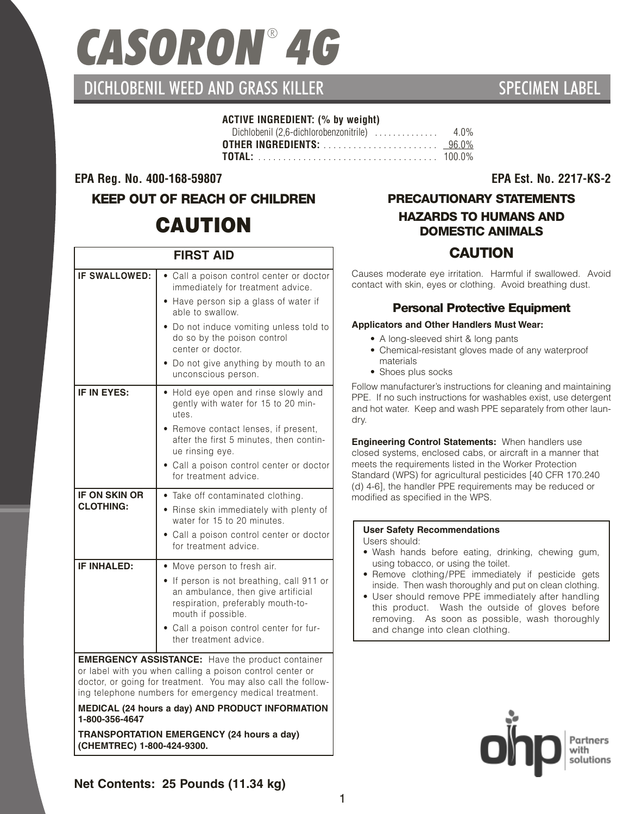# *CASORON* ® *4G*

# DICHLOBENIL WEED AND GRASS KILLER SPECIMEN AND SPECIMEN LABEL

#### **ACTIVE INGREDIENT: (% by weight)**

#### **EPA Reg. No. 400-168-59807 EPA Est. No. 2217-KS-2**

# **KEEP OUT OF REACH OF CHILDREN CAUTION**

| <b>FIRST AID</b>                                                                                                                                                                                                                                                                                    |                                                                                                                                                                                                                                                                                                   |  |  |
|-----------------------------------------------------------------------------------------------------------------------------------------------------------------------------------------------------------------------------------------------------------------------------------------------------|---------------------------------------------------------------------------------------------------------------------------------------------------------------------------------------------------------------------------------------------------------------------------------------------------|--|--|
| <b>IF SWALLOWED:</b>                                                                                                                                                                                                                                                                                | Call a poison control center or doctor<br>immediately for treatment advice.<br>Have person sip a glass of water if<br>able to swallow.<br>Do not induce vomiting unless told to<br>do so by the poison control<br>center or doctor.<br>Do not give anything by mouth to an<br>unconscious person. |  |  |
| IF IN EYES:                                                                                                                                                                                                                                                                                         | Hold eye open and rinse slowly and<br>gently with water for 15 to 20 min-<br>utes.<br>Remove contact lenses, if present,<br>after the first 5 minutes, then contin-<br>ue rinsing eye.<br>Call a poison control center or doctor<br>for treatment advice.                                         |  |  |
| <b>IF ON SKIN OR</b><br><b>CLOTHING:</b>                                                                                                                                                                                                                                                            | • Take off contaminated clothing.<br>• Rinse skin immediately with plenty of<br>water for 15 to 20 minutes.<br>• Call a poison control center or doctor<br>for treatment advice.                                                                                                                  |  |  |
| <b>IF INHALED:</b>                                                                                                                                                                                                                                                                                  | • Move person to fresh air.<br>• If person is not breathing, call 911 or<br>an ambulance, then give artificial<br>respiration, preferably mouth-to-<br>mouth if possible.<br>Call a poison control center for fur-<br>ther treatment advice.                                                      |  |  |
| <b>EMERGENCY ASSISTANCE:</b> Have the product container<br>or label with you when calling a poison control center or<br>doctor, or going for treatment. You may also call the follow-<br>ing telephone numbers for emergency medical treatment.<br>MEDICAL (24 hours a day) AND PRODUCT INFORMATION |                                                                                                                                                                                                                                                                                                   |  |  |

**1-800-356-4647**

**TRANSPORTATION EMERGENCY (24 hours a day) (CHEMTREC) 1-800-424-9300.**

# **PRECAUTIONARY STATEMENTS**

### **HAZARDS TO HUMANS AND DOMESTIC ANIMALS**

## **CAUTION**

Causes moderate eye irritation. Harmful if swallowed. Avoid contact with skin, eyes or clothing. Avoid breathing dust.

#### **Personal Protective Equipment**

#### **Applicators and Other Handlers Must Wear:**

- A long-sleeved shirt & long pants
- Chemical-resistant gloves made of any waterproof materials
- Shoes plus socks

Follow manufacturer's instructions for cleaning and maintaining PPE. If no such instructions for washables exist, use detergent and hot water. Keep and wash PPE separately from other laundry.

**Engineering Control Statements:** When handlers use closed systems, enclosed cabs, or aircraft in a manner that meets the requirements listed in the Worker Protection Standard (WPS) for agricultural pesticides [40 CFR 170.240 (d) 4-6], the handler PPE requirements may be reduced or modified as specified in the WPS.

#### **User Safety Recommendations**

Users should:

- Wash hands before eating, drinking, chewing gum, using tobacco, or using the toilet.
- Remove clothing/PPE immediately if pesticide gets inside. Then wash thoroughly and put on clean clothing.
- User should remove PPE immediately after handling this product. Wash the outside of gloves before removing. As soon as possible, wash thoroughly and change into clean clothing.



**Net Contents: 25 Pounds (11.34 kg)**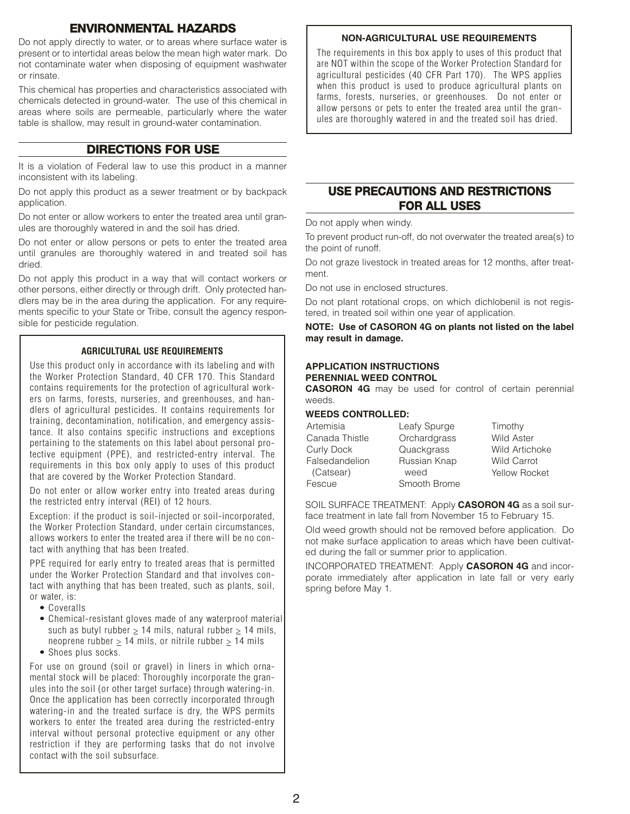#### **ENVIRONMENTAL HAZARDS**

Do not apply directly to water, or to areas where surface water is present or to intertidal areas below the mean high water mark. Do not contaminate water when disposing of equipment washwater or rinsate.

This chemical has properties and characteristics associated with chemicals detected in ground-water. The use of this chemical in areas where soils are permeable, particularly where the water table is shallow, may result in ground-water contamination.

#### **DIRECTIONS FOR USE**

It is a violation of Federal law to use this product in a manner inconsistent with its labeling.

Do not apply this product as a sewer treatment or by backpack application.

Do not enter or allow workers to enter the treated area until granules are thoroughly watered in and the soil has dried.

Do not enter or allow persons or pets to enter the treated area until granules are thoroughly watered in and treated soil has dried.

Do not apply this product in a way that will contact workers or other persons, either directly or through drift. Only protected handlers may be in the area during the application. For any requirements specific to your State or Tribe, consult the agency responsible for pesticide regulation.

#### **AGRICULTURAL USE REQUIREMENTS**

Use this product only in accordance with its labeling and with the Worker Protection Standard, 40 CFR 170. This Standard contains requirements for the protection of agricultural workers on farms, forests, nurseries, and greenhouses, and handlers of agricultural pesticides. It contains requirements for training, decontamination, notification, and emergency assistance. It also contains specific instructions and exceptions pertaining to the statements on this label about personal protective equipment (PPE), and restricted-entry interval. The requirements in this box only apply to uses of this product that are covered by the Worker Protection Standard.

Do not enter or allow worker entry into treated areas during the restricted entry interval (REI) of 12 hours.

Exception: if the product is soil-injected or soil-incorporated. the Worker Protection Standard, under certain circumstances, allows workers to enter the treated area if there will be no contact with anything that has been treated.

PPE required for early entry to treated areas that is permitted under the Worker Protection Standard and that involves contact with anything that has been treated, such as plants, soil, or water, is:

- Coveralls
- Chemical-resistant gloves made of any waterproof material such as butyl rubber  $> 14$  mils, natural rubber  $> 14$  mils, neoprene rubber  $\geq 14$  mils, or nitrile rubber  $\geq 14$  mils
- Shoes plus socks.

For use on ground (soil or gravel) in liners in which ornamental stock will be placed: Thoroughly incorporate the granules into the soil (or other target surface) through watering-in. Once the application has been correctly incorporated through watering-in and the treated surface is dry, the WPS permits workers to enter the treated area during the restricted-entry interval without personal protective equipment or any other restriction if they are performing tasks that do not involve contact with the soil subsurface.

#### **NON-AGRICULTURAL USE REQUIREMENTS**

The requirements in this box apply to uses of this product that are NOT within the scope of the Worker Protection Standard for agricultural pesticides (40 CFR Part 170). The WPS applies when this product is used to produce agricultural plants on farms, forests, nurseries, or greenhouses. Do not enter or allow persons or pets to enter the treated area until the granules are thoroughly watered in and the treated soil has dried.

#### **USE PRECAUTIONS AND RESTRICTIONS FOR ALL USES**

Do not apply when windy.

To prevent product run-off, do not overwater the treated area(s) to the point of runoff.

Do not graze livestock in treated areas for 12 months, after treatment.

Do not use in enclosed structures.

Do not plant rotational crops, on which dichlobenil is not registered, in treated soil within one year of application.

#### **NOTE: Use of CASORON 4G on plants not listed on the label may result in damage.**

#### **APPLICATION INSTRUCTIONS PERENNIAL WEED CONTROL**

**CASORON 4G** may be used for control of certain perennial weeds.

#### **WEEDS CONTROLLED:**

| Artemisia         | Leafy Spurge | Timothy              |
|-------------------|--------------|----------------------|
| Canada Thistle    | Orchardgrass | <b>Wild Aster</b>    |
| <b>Curly Dock</b> | Quackgrass   | Wild Artichoke       |
| Falsedandelion    | Russian Knap | <b>Wild Carrot</b>   |
| (Catsear)         | weed         | <b>Yellow Rocket</b> |
| Fescue            | Smooth Brome |                      |

SOIL SURFACE TREATMENT: Apply **CASORON 4G** as a soil surface treatment in late fall from November 15 to February 15.

Old weed growth should not be removed before application. Do not make surface application to areas which have been cultivated during the fall or summer prior to application.

INCORPORATED TREATMENT: Apply **CASORON 4G** and incorporate immediately after application in late fall or very early spring before May 1.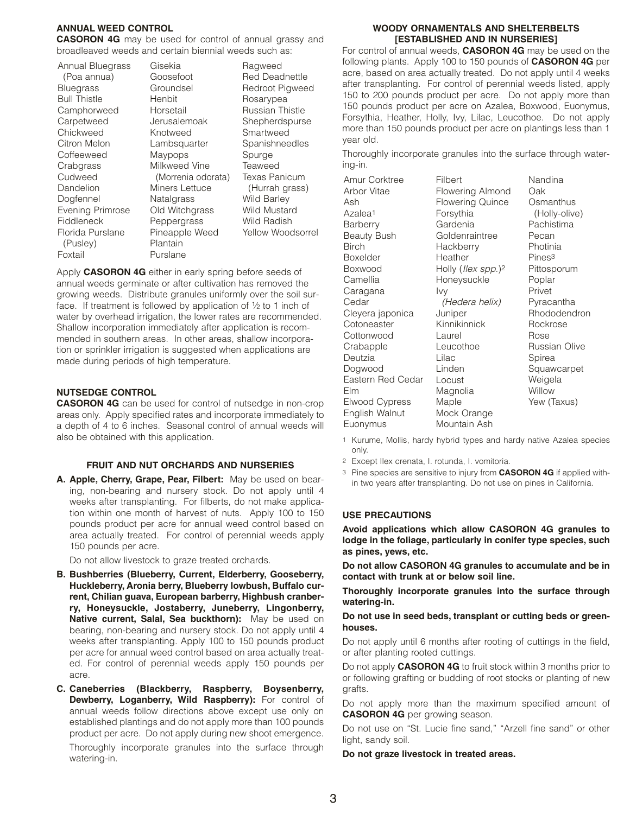#### **ANNUAL WEED CONTROL**

**CASORON 4G** may be used for control of annual grassy and broadleaved weeds and certain biennial weeds such as:

Gisekia

Annual Bluegrass (Poa annua) Bluegrass Bull Thistle Camphorweed **Carpetweed** Chickweed Citron Melon **Coffeeweed Crabgrass** Cudweed Dandelion Dogfennel Evening Primrose Fiddleneck Florida Purslane (Pusley) Foxtail

Goosefoot **Groundsel** Henbit Horsetail Jerusalemoak Knotweed **Lambsquarter** Maypops Milkweed Vine (Morrenia odorata) Miners Lettuce Natalgrass Old Witchgrass Peppergrass Pineapple Weed Plantain Purslane

Ragweed Red Deadnettle Redroot Pigweed Rosarypea Russian Thistle Shepherdspurse Smartweed Spanishneedles Spurge Teaweed Texas Panicum (Hurrah grass) Wild Barley Wild Mustard Wild Radish Yellow Woodsorrel

Apply **CASORON 4G** either in early spring before seeds of annual weeds germinate or after cultivation has removed the growing weeds. Distribute granules uniformly over the soil surface. If treatment is followed by application of 1/2 to 1 inch of water by overhead irrigation, the lower rates are recommended. Shallow incorporation immediately after application is recommended in southern areas. In other areas, shallow incorporation or sprinkler irrigation is suggested when applications are made during periods of high temperature.

#### **NUTSEDGE CONTROL**

**CASORON 4G** can be used for control of nutsedge in non-crop areas only. Apply specified rates and incorporate immediately to a depth of 4 to 6 inches. Seasonal control of annual weeds will also be obtained with this application.

#### **FRUIT AND NUT ORCHARDS AND NURSERIES**

**A. Apple, Cherry, Grape, Pear, Filbert:** May be used on bearing, non-bearing and nursery stock. Do not apply until 4 weeks after transplanting. For filberts, do not make application within one month of harvest of nuts. Apply 100 to 150 pounds product per acre for annual weed control based on area actually treated. For control of perennial weeds apply 150 pounds per acre.

Do not allow livestock to graze treated orchards.

- **B. Bushberries (Blueberry, Current, Elderberry, Gooseberry, Huckleberry, Aronia berry, Blueberry lowbush, Buffalo current, Chilian guava, European barberry, Highbush cranberry, Honeysuckle, Jostaberry, Juneberry, Lingonberry, Native current, Salal, Sea buckthorn):** May be used on bearing, non-bearing and nursery stock. Do not apply until 4 weeks after transplanting. Apply 100 to 150 pounds product per acre for annual weed control based on area actually treated. For control of perennial weeds apply 150 pounds per acre.
- **C. Caneberries (Blackberry, Raspberry, Boysenberry, Dewberry, Loganberry, Wild Raspberry):** For control of annual weeds follow directions above except use only on established plantings and do not apply more than 100 pounds product per acre. Do not apply during new shoot emergence.

Thoroughly incorporate granules into the surface through watering-in.

#### **WOODY ORNAMENTALS AND SHELTERBELTS [ESTABLISHED AND IN NURSERIES]**

For control of annual weeds, **CASORON 4G** may be used on the following plants. Apply 100 to 150 pounds of **CASORON 4G** per acre, based on area actually treated. Do not apply until 4 weeks after transplanting. For control of perennial weeds listed, apply 150 to 200 pounds product per acre. Do not apply more than 150 pounds product per acre on Azalea, Boxwood, Euonymus, Forsythia, Heather, Holly, Ivy, Lilac, Leucothoe. Do not apply more than 150 pounds product per acre on plantings less than 1 year old.

Thoroughly incorporate granules into the surface through watering-in.

Amur Corktree Arbor Vitae Ash Azalea1 **Barberry** Beauty Bush Birch Boxelder Boxwood Camellia Caragana Cedar Cleyera japonica **Cotoneaster Cottonwood Crabapple** Deutzia Dogwood Eastern Red Cedar Elm Elwood Cypress English Walnut Euonymus

Filbert Flowering Almond Flowering Quince Forsythia Gardenia Goldenraintree **Hackberry** Heather Holly (*Ilex spp*.)2 Honeysuckle Ivy (Hedera helix) Juniper Kinnikinnick Laurel Leucothoe Lilac Linden Locust Magnolia Maple Mock Orange

Nandina Oak **Osmanthus** (Holly-olive) Pachistima Pecan Photinia Pines3 Pittosporum Poplar Privet Pyracantha Rhododendron Rockrose Rose Russian Olive Spirea Squawcarpet Weigela **Willow** Yew (Taxus)

1 Kurume, Mollis, hardy hybrid types and hardy native Azalea species only.

Mountain Ash

- 2 Except Ilex crenata, I. rotunda, I. vomitoria.
- 3 Pine species are sensitive to injury from **CASORON 4G** if applied within two years after transplanting. Do not use on pines in California.

#### **USE PRECAUTIONS**

**Avoid applications which allow CASORON 4G granules to lodge in the foliage, particularly in conifer type species, such as pines, yews, etc.**

**Do not allow CASORON 4G granules to accumulate and be in contact with trunk at or below soil line.**

**Thoroughly incorporate granules into the surface through watering-in.**

#### **Do not use in seed beds, transplant or cutting beds or greenhouses.**

Do not apply until 6 months after rooting of cuttings in the field, or after planting rooted cuttings.

Do not apply **CASORON 4G** to fruit stock within 3 months prior to or following grafting or budding of root stocks or planting of new grafts.

Do not apply more than the maximum specified amount of **CASORON 4G** per growing season.

Do not use on "St. Lucie fine sand," "Arzell fine sand" or other light, sandy soil.

**Do not graze livestock in treated areas.**